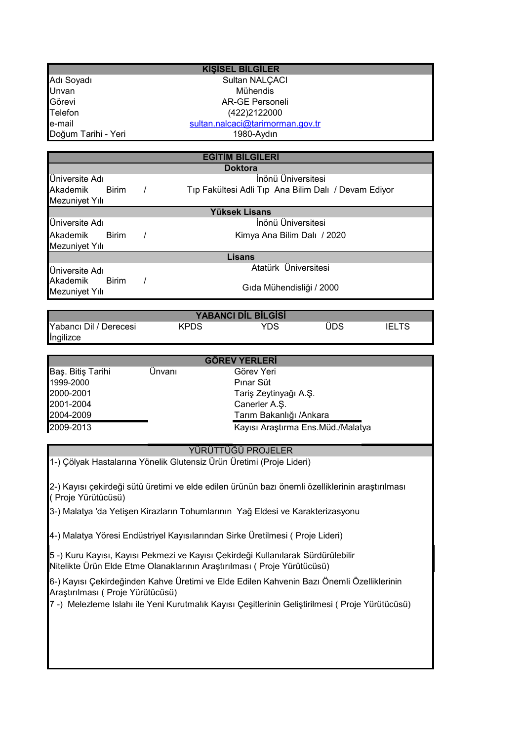|                                                                                                                                                              |                                                                  | <b>KIŞİSEL BİLGİLER</b>           |                                                                                                  |  |
|--------------------------------------------------------------------------------------------------------------------------------------------------------------|------------------------------------------------------------------|-----------------------------------|--------------------------------------------------------------------------------------------------|--|
| Adı Soyadı                                                                                                                                                   | Sultan NALÇACI                                                   |                                   |                                                                                                  |  |
| Unvan                                                                                                                                                        | Mühendis                                                         |                                   |                                                                                                  |  |
| Görevi                                                                                                                                                       | <b>AR-GE Personeli</b>                                           |                                   |                                                                                                  |  |
| Telefon                                                                                                                                                      | (422)2122000                                                     |                                   |                                                                                                  |  |
| e-mail                                                                                                                                                       | sultan.nalcaci@tarimorman.gov.tr                                 |                                   |                                                                                                  |  |
| Doğum Tarihi - Yeri                                                                                                                                          |                                                                  | 1980-Aydın                        |                                                                                                  |  |
|                                                                                                                                                              |                                                                  |                                   |                                                                                                  |  |
|                                                                                                                                                              |                                                                  | <b>EGITIM BILGILERI</b>           |                                                                                                  |  |
| <b>Doktora</b>                                                                                                                                               |                                                                  |                                   |                                                                                                  |  |
| Üniversite Adı                                                                                                                                               | İnönü Üniversitesi                                               |                                   |                                                                                                  |  |
| Akademik<br><b>Birim</b>                                                                                                                                     | Tıp Fakültesi Adli Tıp Ana Bilim Dalı / Devam Ediyor<br>$\prime$ |                                   |                                                                                                  |  |
| Mezuniyet Yılı                                                                                                                                               |                                                                  | <b>Yüksek Lisans</b>              |                                                                                                  |  |
| Üniversite Adı                                                                                                                                               | İnönü Üniversitesi                                               |                                   |                                                                                                  |  |
|                                                                                                                                                              | $\prime$<br>Kimya Ana Bilim Dalı / 2020                          |                                   |                                                                                                  |  |
| Akademik<br><b>Birim</b>                                                                                                                                     |                                                                  |                                   |                                                                                                  |  |
| Mezuniyet Yılı                                                                                                                                               |                                                                  | <b>Lisans</b>                     |                                                                                                  |  |
| Üniversite Adı                                                                                                                                               | Atatürk Üniversitesi                                             |                                   |                                                                                                  |  |
| Akademik<br><b>Birim</b>                                                                                                                                     | $\prime$<br>Gıda Mühendisliği / 2000                             |                                   |                                                                                                  |  |
| Mezuniyet Yılı                                                                                                                                               |                                                                  |                                   |                                                                                                  |  |
|                                                                                                                                                              |                                                                  |                                   |                                                                                                  |  |
|                                                                                                                                                              |                                                                  | <b>YABANCI DIL BILGISI</b>        |                                                                                                  |  |
| Yabancı Dil / Derecesi                                                                                                                                       | <b>KPDS</b>                                                      | <b>YDS</b>                        | ÜDS<br><b>IELTS</b>                                                                              |  |
| <b>Ingilizce</b>                                                                                                                                             |                                                                  |                                   |                                                                                                  |  |
|                                                                                                                                                              |                                                                  |                                   |                                                                                                  |  |
|                                                                                                                                                              |                                                                  | <b>GÖREV YERLERİ</b>              |                                                                                                  |  |
| Baş. Bitiş Tarihi                                                                                                                                            | Ünvanı                                                           | Görev Yeri                        |                                                                                                  |  |
| 1999-2000                                                                                                                                                    |                                                                  | Pinar Süt                         |                                                                                                  |  |
| 2000-2001                                                                                                                                                    |                                                                  | Tariş Zeytinyağı A.Ş.             |                                                                                                  |  |
| 2001-2004                                                                                                                                                    |                                                                  | Canerler A.Ş.                     |                                                                                                  |  |
| 2004-2009                                                                                                                                                    |                                                                  | Tarım Bakanlığı /Ankara           |                                                                                                  |  |
| 2009-2013                                                                                                                                                    |                                                                  | Kayısı Araştırma Ens.Müd./Malatya |                                                                                                  |  |
|                                                                                                                                                              |                                                                  | YÜRÜTTÜĞÜ PROJELER                |                                                                                                  |  |
| 1-) Çölyak Hastalarına Yönelik Glutensiz Ürün Üretimi (Proje Lideri)                                                                                         |                                                                  |                                   |                                                                                                  |  |
|                                                                                                                                                              |                                                                  |                                   |                                                                                                  |  |
| (Proje Yürütücüsü)                                                                                                                                           |                                                                  |                                   | 2-) Kayısı çekirdeği sütü üretimi ve elde edilen ürünün bazı önemli özelliklerinin araştırılması |  |
| 3-) Malatya 'da Yetişen Kirazların Tohumlarının Yağ Eldesi ve Karakterizasyonu                                                                               |                                                                  |                                   |                                                                                                  |  |
| 4-) Malatya Yöresi Endüstriyel Kayısılarından Sirke Üretilmesi (Proje Lideri)                                                                                |                                                                  |                                   |                                                                                                  |  |
|                                                                                                                                                              |                                                                  |                                   |                                                                                                  |  |
| 5 -) Kuru Kayısı, Kayısı Pekmezi ve Kayısı Çekirdeği Kullanılarak Sürdürülebilir<br>Nitelikte Ürün Elde Etme Olanaklarının Araştırılması ( Proje Yürütücüsü) |                                                                  |                                   |                                                                                                  |  |
| Araştırılması (Proje Yürütücüsü)                                                                                                                             |                                                                  |                                   | 6-) Kayısı Çekirdeğinden Kahve Üretimi ve Elde Edilen Kahvenin Bazı Önemli Özelliklerinin        |  |
| 7 -) Melezleme Islahı ile Yeni Kurutmalık Kayısı Çeşitlerinin Geliştirilmesi (Proje Yürütücüsü)                                                              |                                                                  |                                   |                                                                                                  |  |
|                                                                                                                                                              |                                                                  |                                   |                                                                                                  |  |
|                                                                                                                                                              |                                                                  |                                   |                                                                                                  |  |
|                                                                                                                                                              |                                                                  |                                   |                                                                                                  |  |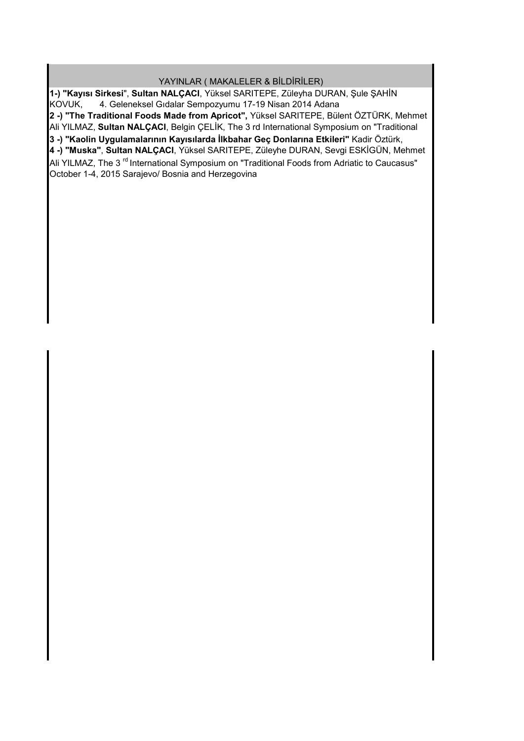## YAYINLAR ( MAKALELER & BİLDİRİLER)

**2 -) "The Traditional Foods Made from Apricot",** Yüksel SARITEPE, Bülent ÖZTÜRK, Mehmet Ali YILMAZ, **Sultan NALÇACI**, Belgin ÇELİK, The 3 rd International Symposium on "Traditional **4 -) "Muska"**, **Sultan NALÇACI**, Yüksel SARITEPE, Züleyhe DURAN, Sevgi ESKİGÜN, Mehmet  $\overline{\mathsf{A}}$ li YILMAZ, The 3  $^{\mathsf{rd}}$  International Symposium on "Traditional Foods from Adriatic to Caucasus" October 1-4, 2015 Sarajevo/ Bosnia and Herzegovina **3 -) "Kaolin Uygulamalarının Kayısılarda İlkbahar Geç Donlarına Etkileri"** Kadir Öztürk, **1-) "Kayısı Sirkesi**", **Sultan NALÇACI**, Yüksel SARITEPE, Züleyha DURAN, Şule ŞAHİN KOVUK, 4. Geleneksel Gıdalar Sempozyumu 17-19 Nisan 2014 Adana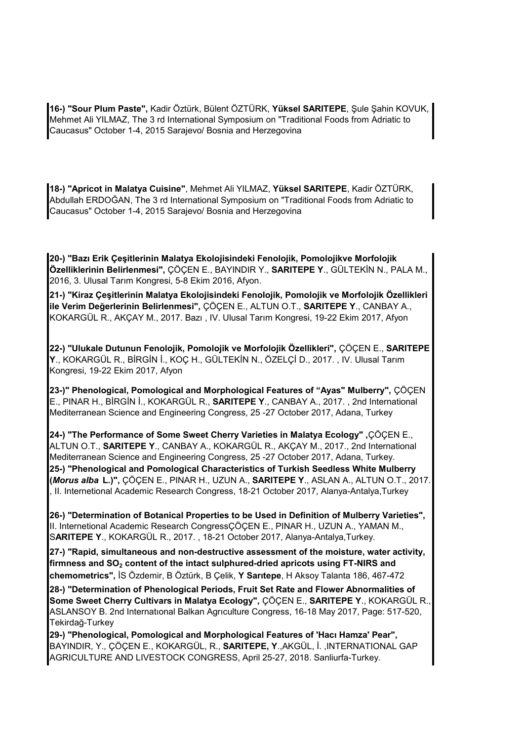**16-) "Sour Plum Paste",** Kadir Öztürk, Bülent ÖZTÜRK, **Yüksel SARITEPE**, Şule Şahin KOVUK, Mehmet Ali YILMAZ, The 3 rd International Symposium on "Traditional Foods from Adriatic to Caucasus" October 1-4, 2015 Sarajevo/ Bosnia and Herzegovina

**18-) "Apricot in Malatya Cuisine"**, Mehmet Ali YILMAZ, **Yüksel SARITEPE**, Kadir ÖZTÜRK, Abdullah ERDOĞAN, The 3 rd International Symposium on "Traditional Foods from Adriatic to Caucasus" October 1-4, 2015 Sarajevo/ Bosnia and Herzegovina

**20-) "Bazı Erik Çeşitlerinin Malatya Ekolojisindeki Fenolojik, Pomolojikve Morfolojik Özelliklerinin Belirlenmesi",** ÇÖÇEN E., BAYINDIR Y., **SARITEPE Y**., GÜLTEKİN N., PALA M., 2016, 3. Ulusal Tarım Kongresi, 5-8 Ekim 2016, Afyon.

**21-) "Kiraz Çeşitlerinin Malatya Ekolojisindeki Fenolojik, Pomolojik ve Morfolojik Özellikleri ile Verim Değerlerinin Belirlenmesi",** ÇÖÇEN E., ALTUN O.T., **SARITEPE Y**., CANBAY A., KOKARGÜL R., AKÇAY M., 2017. Bazı , IV. Ulusal Tarım Kongresi, 19-22 Ekim 2017, Afyon

**22-) "Ulukale Dutunun Fenolojik, Pomolojik ve Morfolojik Özellikleri",** ÇÖÇEN E., **SARITEPE Y**., KOKARGÜL R., BİRGİN İ., KOÇ H., GÜLTEKİN N., ÖZELÇİ D., 2017. , IV. Ulusal Tarım Kongresi, 19-22 Ekim 2017, Afyon

**23-)" Phenological, Pomological and Morphological Features of "Ayas" Mulberry",** ÇÖÇEN E., PINAR H., BİRGİN İ., KOKARGÜL R., **SARITEPE Y**., CANBAY A., 2017. , 2nd International Mediterranean Science and Engineering Congress, 25 -27 October 2017, Adana, Turkey

**24-) "The Performance of Some Sweet Cherry Varieties in Malatya Ecology" ,**ÇÖÇEN E., ALTUN O.T., **SARITEPE Y**., CANBAY A., KOKARGÜL R., AKÇAY M., 2017., 2nd International Mediterranean Science and Engineering Congress, 25 -27 October 2017, Adana, Turkey. **25-) "Phenological and Pomological Characteristics of Turkish Seedless White Mulberry (***Morus alba* **L.)",** ÇÖÇEN E., PINAR H., UZUN A., **SARITEPE Y**., ASLAN A., ALTUN O.T., 2017. , II. Internetional Academic Research Congress, 18-21 October 2017, Alanya-Antalya,Turkey

**26-) "Determination of Botanical Properties to be Used in Definition of Mulberry Varieties",**  II. Internetional Academic Research CongressÇÖÇEN E., PINAR H., UZUN A., YAMAN M., S**ARITEPE Y**., KOKARGÜL R., 2017. , 18-21 October 2017, Alanya-Antalya,Turkey.

**27-) "Rapid, simultaneous and non-destructive assessment of the moisture, water activity, firmness and SO<sup>2</sup> content of the intact sulphured-dried apricots using FT-NIRS and chemometrics",** İS Özdemir, B Öztürk, B Çelik, **Y Sarıtepe**, H Aksoy Talanta 186, 467-472

**28-) "Determination of Phenological Periods, Fruit Set Rate and Flower Abnormalities of Some Sweet Cherry Cultivars in Malatya Ecology",** ÇÖÇEN E., **SARITEPE Y**., KOKARGÜL R., ASLANSOY B. 2nd Internatıonal Balkan Agrıculture Congress, 16-18 May 2017, Page: 517-520, Tekirdağ-Turkey

**29-) "Phenological, Pomological and Morphological Features of 'Hacı Hamza' Pear",**  BAYINDIR, Y., ÇÖÇEN E., KOKARGÜL, R., **SARITEPE, Y**.,AKGÜL, İ. ,INTERNATIONAL GAP AGRICULTURE AND LIVESTOCK CONGRESS, April 25-27, 2018. Sanliurfa-Turkey.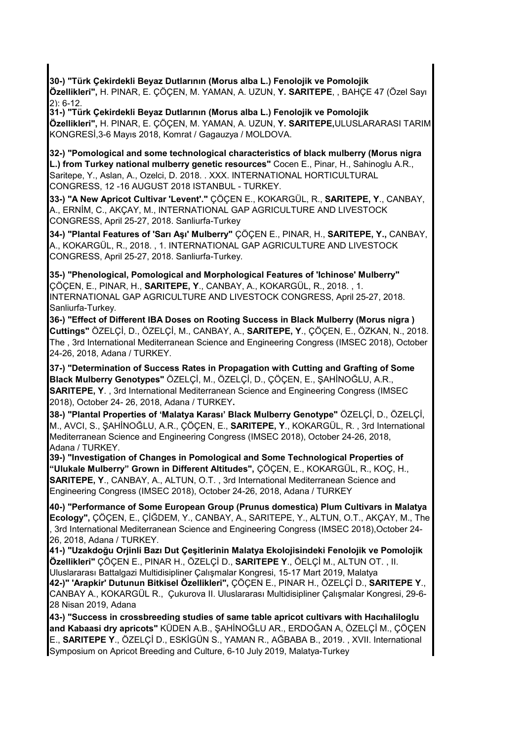**30-) "Türk Çekirdekli Beyaz Dutlarının (Morus alba L.) Fenolojik ve Pomolojik Özellikleri",** H. PINAR, E. ÇÖÇEN, M. YAMAN, A. UZUN, **Y. SARITEPE**, , BAHÇE 47 (Özel Sayı 2): 6-12.

**31-) "Türk Çekirdekli Beyaz Dutlarının (Morus alba L.) Fenolojik ve Pomolojik Özellikleri",** H. PINAR, E. ÇÖÇEN, M. YAMAN, A. UZUN, **Y. SARITEPE,**ULUSLARARASI TARIM KONGRESİ,3-6 Mayıs 2018, Komrat / Gagauzya / MOLDOVA.

**32-) "Pomological and some technological characteristics of black mulberry (Morus nigra L.) from Turkey national mulberry genetic resources"** Cocen E., Pinar, H., Sahinoglu A.R., Saritepe, Y., Aslan, A., Ozelci, D. 2018. . XXX. INTERNATIONAL HORTICULTURAL CONGRESS, 12 -16 AUGUST 2018 ISTANBUL - TURKEY.

**33-) "A New Apricot Cultivar 'Levent'."** ÇÖÇEN E., KOKARGÜL, R., **SARITEPE, Y**., CANBAY, A., ERNİM, C., AKÇAY, M., INTERNATIONAL GAP AGRICULTURE AND LIVESTOCK CONGRESS, April 25-27, 2018. Sanliurfa-Turkey

**34-) "Plantal Features of 'Sarı Aşı' Mulberry"** ÇÖÇEN E., PINAR, H., **SARITEPE, Y.,** CANBAY, A., KOKARGÜL, R., 2018. , 1. INTERNATIONAL GAP AGRICULTURE AND LIVESTOCK CONGRESS, April 25-27, 2018. Sanliurfa-Turkey.

**35-) "Phenological, Pomological and Morphological Features of 'Ichinose' Mulberry"**  ÇÖÇEN, E., PINAR, H., **SARITEPE, Y**., CANBAY, A., KOKARGÜL, R., 2018. , 1. INTERNATIONAL GAP AGRICULTURE AND LIVESTOCK CONGRESS, April 25-27, 2018. Sanliurfa-Turkey.

**36-) "Effect of Different IBA Doses on Rooting Success in Black Mulberry (Morus nigra ) Cuttings"** ÖZELÇİ, D., ÖZELÇİ, M., CANBAY, A., **SARITEPE, Y**., ÇÖÇEN, E., ÖZKAN, N., 2018. The , 3rd International Mediterranean Science and Engineering Congress (IMSEC 2018), October 24-26, 2018, Adana / TURKEY.

**37-) "Determination of Success Rates in Propagation with Cutting and Grafting of Some Black Mulberry Genotypes"** ÖZELÇİ, M., ÖZELÇİ, D., ÇÖÇEN, E., ŞAHİNOĞLU, A.R., **SARITEPE, Y**. , 3rd International Mediterranean Science and Engineering Congress (IMSEC 2018), October 24- 26, 2018, Adana / TURKEY**.**

**38-) "Plantal Properties of 'Malatya Karası' Black Mulberry Genotype"** ÖZELÇİ, D., ÖZELÇİ, M., AVCI, S., ŞAHİNOĞLU, A.R., ÇÖÇEN, E., **SARITEPE, Y**., KOKARGÜL, R. , 3rd International Mediterranean Science and Engineering Congress (IMSEC 2018), October 24-26, 2018, Adana / TURKEY.

**39-) "Investigation of Changes in Pomological and Some Technological Properties of "Ulukale Mulberry" Grown in Different Altitudes",** ÇÖÇEN, E., KOKARGÜL, R., KOÇ, H., **SARITEPE, Y**., CANBAY, A., ALTUN, O.T. , 3rd International Mediterranean Science and Engineering Congress (IMSEC 2018), October 24-26, 2018, Adana / TURKEY

**40-) "Performance of Some European Group (Prunus domestica) Plum Cultivars in Malatya Ecology",** ÇÖÇEN, E., ÇİĞDEM, Y., CANBAY, A., SARITEPE, Y., ALTUN, O.T., AKÇAY, M., The , 3rd International Mediterranean Science and Engineering Congress (IMSEC 2018),October 24- 26, 2018, Adana / TURKEY.

**41-) "Uzakdoğu Orjinli Bazı Dut Çeşitlerinin Malatya Ekolojisindeki Fenolojik ve Pomolojik Özellikleri"** ÇÖÇEN E., PINAR H., ÖZELÇİ D., **SARITEPE Y**., ÖELÇİ M., ALTUN OT. , II. Uluslararası Battalgazi Multidisipliner Çalışmalar Kongresi, 15-17 Mart 2019, Malatya **42-)" 'Arapkir' Dutunun Bitkisel Özellikleri",** ÇÖÇEN E., PINAR H., ÖZELÇİ D., **SARITEPE Y**., CANBAY A., KOKARGÜL R., Çukurova II. Uluslararası Multidisipliner Çalışmalar Kongresi, 29-6- 28 Nisan 2019, Adana

**43-) "Success in crossbreeding studies of same table apricot cultivars with Hacıhaliloglu and Kabaasi dry apricots"** KÜDEN A.B., ŞAHİNOĞLU AR., ERDOĞAN A, ÖZELÇİ M., ÇÖÇEN E., **SARITEPE Y**., ÖZELÇİ D., ESKİGÜN S., YAMAN R., AĞBABA B., 2019. , XVII. International Symposium on Apricot Breeding and Culture, 6-10 July 2019, Malatya-Turkey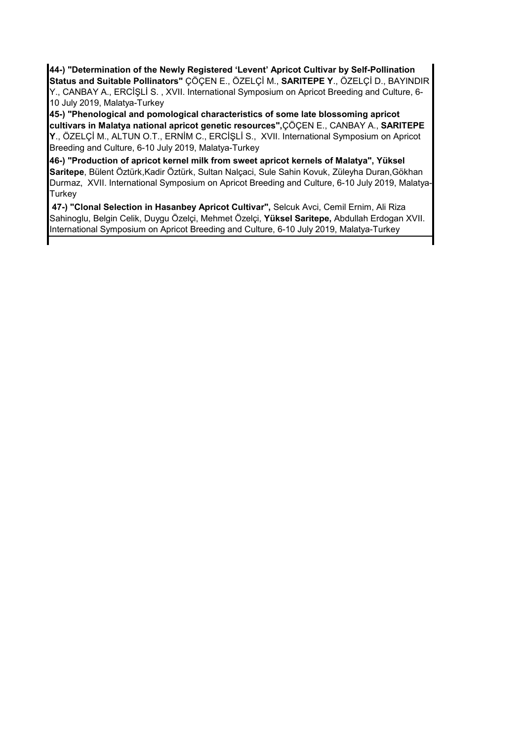**44-) "Determination of the Newly Registered 'Levent' Apricot Cultivar by Self-Pollination Status and Suitable Pollinators"** ÇÖÇEN E., ÖZELÇİ M., **SARITEPE Y**., ÖZELÇİ D., BAYINDIR Y., CANBAY A., ERCİŞLİ S. , XVII. International Symposium on Apricot Breeding and Culture, 6- 10 July 2019, Malatya-Turkey

**45-) "Phenological and pomological characteristics of some late blossoming apricot cultivars in Malatya national apricot genetic resources",**ÇÖÇEN E., CANBAY A., **SARITEPE Y**., ÖZELÇİ M., ALTUN O.T., ERNİM C., ERCİŞLİ S., XVII. International Symposium on Apricot Breeding and Culture, 6-10 July 2019, Malatya-Turkey

**46-) "Production of apricot kernel milk from sweet apricot kernels of Malatya", Yüksel Saritepe**, Bülent Öztürk,Kadir Öztürk, Sultan Nalçaci, Sule Sahin Kovuk, Züleyha Duran,Gökhan Durmaz, XVII. International Symposium on Apricot Breeding and Culture, 6-10 July 2019, Malatya-**Turkey** 

 **47-) "Clonal Selection in Hasanbey Apricot Cultivar",** Selcuk Avci, Cemil Ernim, Ali Riza Sahinoglu, Belgin Celik, Duygu Özelçi, Mehmet Özelçi, **Yüksel Saritepe,** Abdullah Erdogan XVII. International Symposium on Apricot Breeding and Culture, 6-10 July 2019, Malatya-Turkey